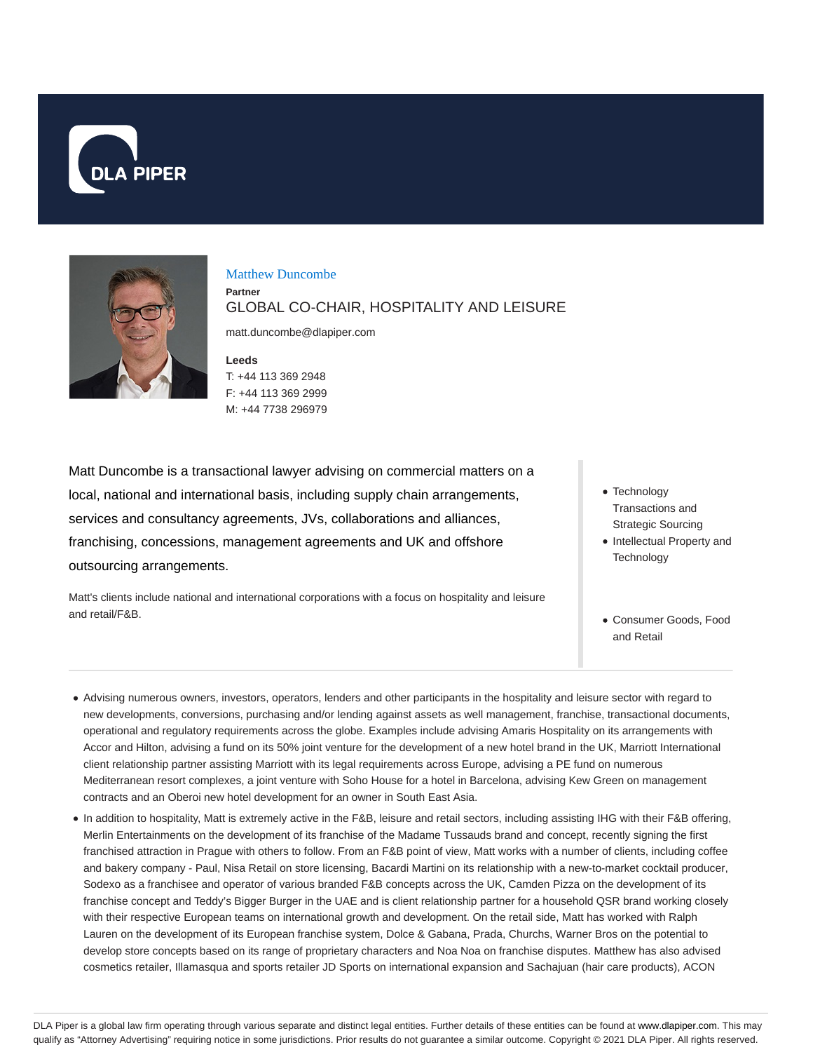



Matthew Duncombe

**Partner**

GLOBAL CO-CHAIR, HOSPITALITY AND LEISURE

matt.duncombe@dlapiper.com

**Leeds** T: +44 113 369 2948 F: +44 113 369 2999 M: +44 7738 296979

Matt Duncombe is a transactional lawyer advising on commercial matters on a local, national and international basis, including supply chain arrangements, services and consultancy agreements, JVs, collaborations and alliances, franchising, concessions, management agreements and UK and offshore outsourcing arrangements.

Matt's clients include national and international corporations with a focus on hospitality and leisure and retail/F&B.

- Technology Transactions and Strategic Sourcing
- Intellectual Property and **Technology**
- Consumer Goods, Food and Retail
- Advising numerous owners, investors, operators, lenders and other participants in the hospitality and leisure sector with regard to new developments, conversions, purchasing and/or lending against assets as well management, franchise, transactional documents, operational and regulatory requirements across the globe. Examples include advising Amaris Hospitality on its arrangements with Accor and Hilton, advising a fund on its 50% joint venture for the development of a new hotel brand in the UK, Marriott International client relationship partner assisting Marriott with its legal requirements across Europe, advising a PE fund on numerous Mediterranean resort complexes, a joint venture with Soho House for a hotel in Barcelona, advising Kew Green on management contracts and an Oberoi new hotel development for an owner in South East Asia.
- In addition to hospitality, Matt is extremely active in the F&B, leisure and retail sectors, including assisting IHG with their F&B offering, Merlin Entertainments on the development of its franchise of the Madame Tussauds brand and concept, recently signing the first franchised attraction in Prague with others to follow. From an F&B point of view, Matt works with a number of clients, including coffee and bakery company - Paul, Nisa Retail on store licensing, Bacardi Martini on its relationship with a new-to-market cocktail producer, Sodexo as a franchisee and operator of various branded F&B concepts across the UK, Camden Pizza on the development of its franchise concept and Teddy's Bigger Burger in the UAE and is client relationship partner for a household QSR brand working closely with their respective European teams on international growth and development. On the retail side, Matt has worked with Ralph Lauren on the development of its European franchise system, Dolce & Gabana, Prada, Churchs, Warner Bros on the potential to develop store concepts based on its range of proprietary characters and Noa Noa on franchise disputes. Matthew has also advised cosmetics retailer, Illamasqua and sports retailer JD Sports on international expansion and Sachajuan (hair care products), ACON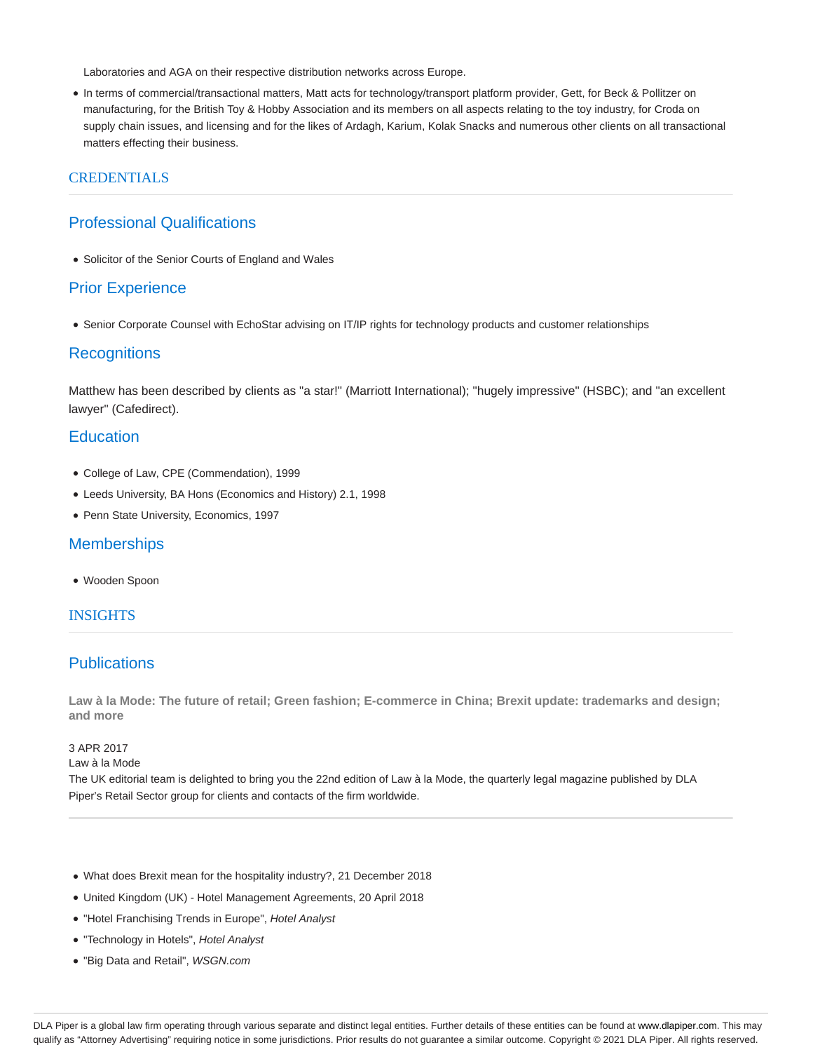Laboratories and AGA on their respective distribution networks across Europe.

In terms of commercial/transactional matters, Matt acts for technology/transport platform provider, Gett, for Beck & Pollitzer on manufacturing, for the British Toy & Hobby Association and its members on all aspects relating to the toy industry, for Croda on supply chain issues, and licensing and for the likes of Ardagh, Karium, Kolak Snacks and numerous other clients on all transactional matters effecting their business.

## **CREDENTIALS**

# Professional Qualifications

Solicitor of the Senior Courts of England and Wales

#### Prior Experience

Senior Corporate Counsel with EchoStar advising on IT/IP rights for technology products and customer relationships

#### **Recognitions**

Matthew has been described by clients as "a star!" (Marriott International); "hugely impressive" (HSBC); and "an excellent lawyer" (Cafedirect).

# **Education**

- College of Law, CPE (Commendation), 1999
- Leeds University, BA Hons (Economics and History) 2.1, 1998
- Penn State University, Economics, 1997

# **Memberships**

Wooden Spoon

#### INSIGHTS

## **Publications**

**Law à la Mode: The future of retail; Green fashion; E-commerce in China; Brexit update: trademarks and design; and more**

## 3 APR 2017

Law à la Mode

The UK editorial team is delighted to bring you the 22nd edition of Law à la Mode, the quarterly legal magazine published by DLA Piper's Retail Sector group for clients and contacts of the firm worldwide.

- What does Brexit mean for the hospitality industry?, 21 December 2018
- United Kingdom (UK) Hotel Management Agreements, 20 April 2018
- "Hotel Franchising Trends in Europe", Hotel Analyst
- "Technology in Hotels", Hotel Analyst
- "Big Data and Retail", WSGN.com